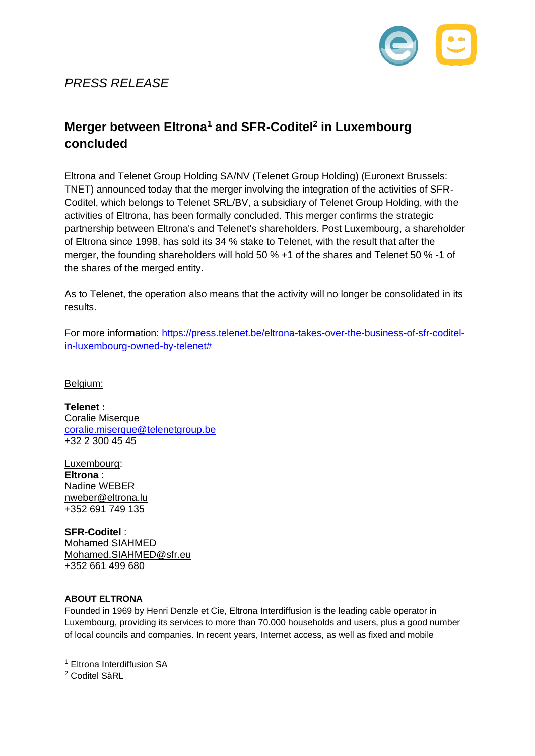

## *PRESS RELEASE*

## **Merger between Eltrona<sup>1</sup> and SFR-Coditel<sup>2</sup> in Luxembourg concluded**

Eltrona and Telenet Group Holding SA/NV (Telenet Group Holding) (Euronext Brussels: TNET) announced today that the merger involving the integration of the activities of SFR-Coditel, which belongs to Telenet SRL/BV, a subsidiary of Telenet Group Holding, with the activities of Eltrona, has been formally concluded. This merger confirms the strategic partnership between Eltrona's and Telenet's shareholders. Post Luxembourg, a shareholder of Eltrona since 1998, has sold its 34 % stake to Telenet, with the result that after the merger, the founding shareholders will hold 50 % +1 of the shares and Telenet 50 % -1 of the shares of the merged entity.

As to Telenet, the operation also means that the activity will no longer be consolidated in its results.

For more information: [https://press.telenet.be/eltrona-takes-over-the-business-of-sfr-coditel](https://press.telenet.be/eltrona-takes-over-the-business-of-sfr-coditel-in-luxembourg-owned-by-telenet)[in-luxembourg-owned-by-telenet#](https://press.telenet.be/eltrona-takes-over-the-business-of-sfr-coditel-in-luxembourg-owned-by-telenet)

Belgium:

**Telenet :** Coralie Miserque [coralie.miserque@telenetgroup.be](mailto:coralie.miserque@telenetgroup.be) +32 2 300 45 45

Luxembourg: **Eltrona** : Nadine WEBER [nweber@eltrona.lu](mailto:nweber@eltrona.lu) +352 691 749 135

**SFR-Coditel** : Mohamed SIAHMED [Mohamed.SIAHMED@sfr.eu](mailto:Mohamed.SIAHMED@sfr.eu) +352 661 499 680

## **ABOUT ELTRONA**

Founded in 1969 by Henri Denzle et Cie, Eltrona Interdiffusion is the leading cable operator in Luxembourg, providing its services to more than 70.000 households and users, plus a good number of local councils and companies. In recent years, Internet access, as well as fixed and mobile

<sup>1</sup> Eltrona Interdiffusion SA

<sup>&</sup>lt;sup>2</sup> Coditel SàRL